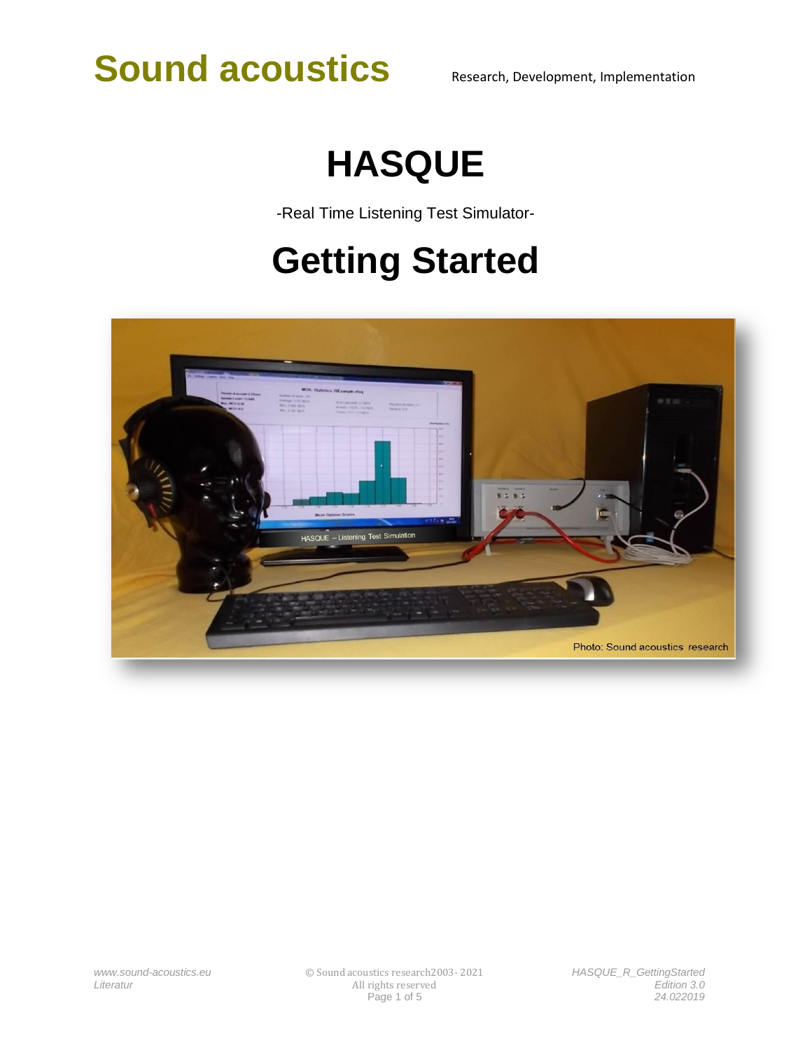## **HASQUE**

-Real Time Listening Test Simulator-

### **Getting Started**

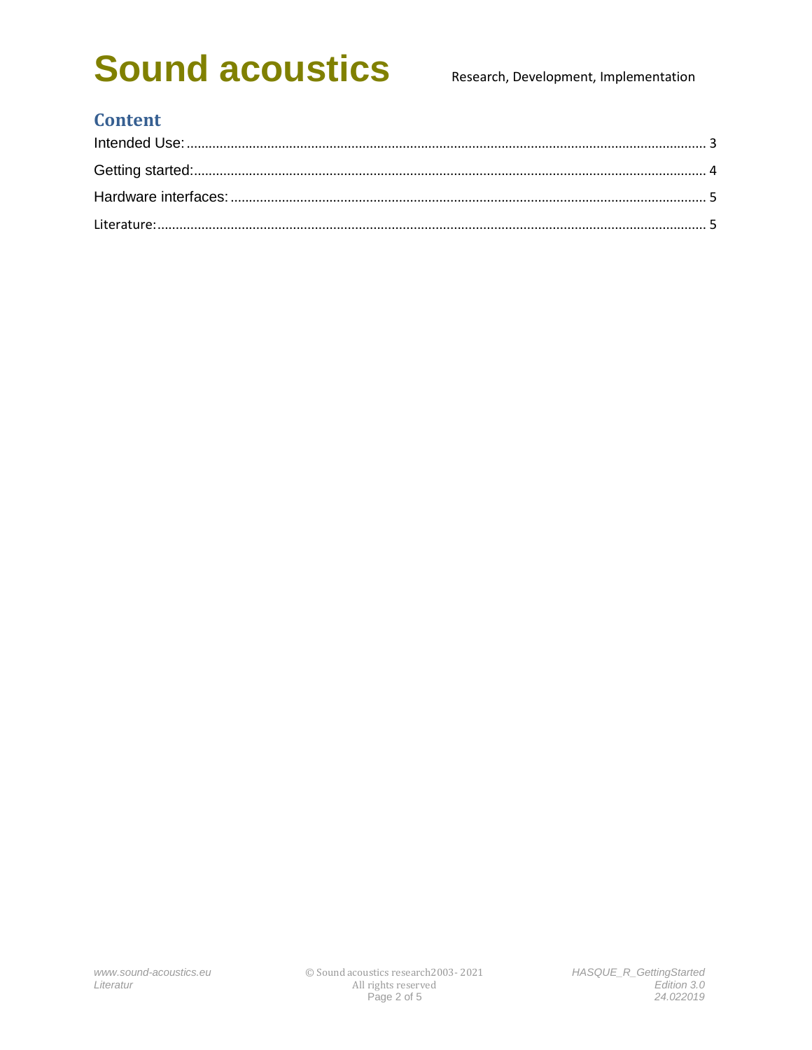# **Sound acoustics**

### **Content**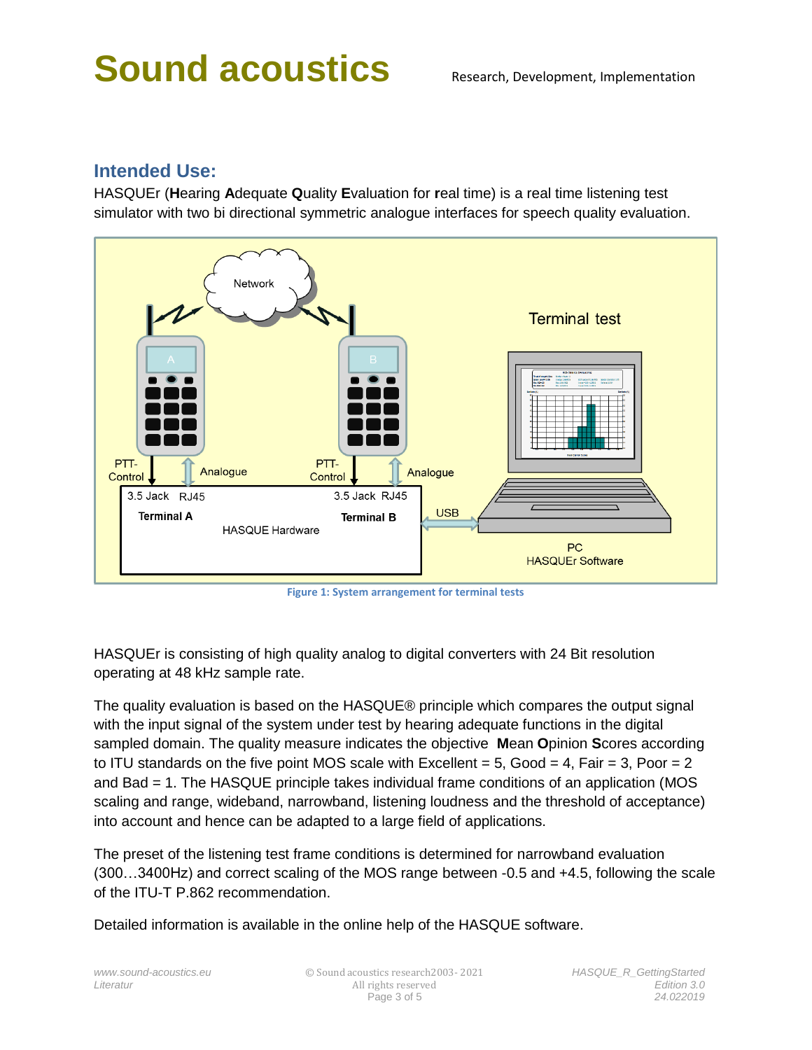#### <span id="page-2-0"></span>**Intended Use:**

HASQUEr (**H**earing **A**dequate **Q**uality **E**valuation for **r**eal time) is a real time listening test simulator with two bi directional symmetric analogue interfaces for speech quality evaluation.



**Figure 1: System arrangement for terminal tests**

HASQUEr is consisting of high quality analog to digital converters with 24 Bit resolution operating at 48 kHz sample rate.

The quality evaluation is based on the HASQUE® principle which compares the output signal with the input signal of the system under test by hearing adequate functions in the digital sampled domain. The quality measure indicates the objective **M**ean **O**pinion **S**cores according to ITU standards on the five point MOS scale with Excellent  $= 5$ , Good  $= 4$ , Fair  $= 3$ , Poor  $= 2$ and Bad = 1. The HASQUE principle takes individual frame conditions of an application (MOS scaling and range, wideband, narrowband, listening loudness and the threshold of acceptance) into account and hence can be adapted to a large field of applications.

The preset of the listening test frame conditions is determined for narrowband evaluation (300…3400Hz) and correct scaling of the MOS range between -0.5 and +4.5, following the scale of the ITU-T P.862 recommendation.

Detailed information is available in the online help of the HASQUE software.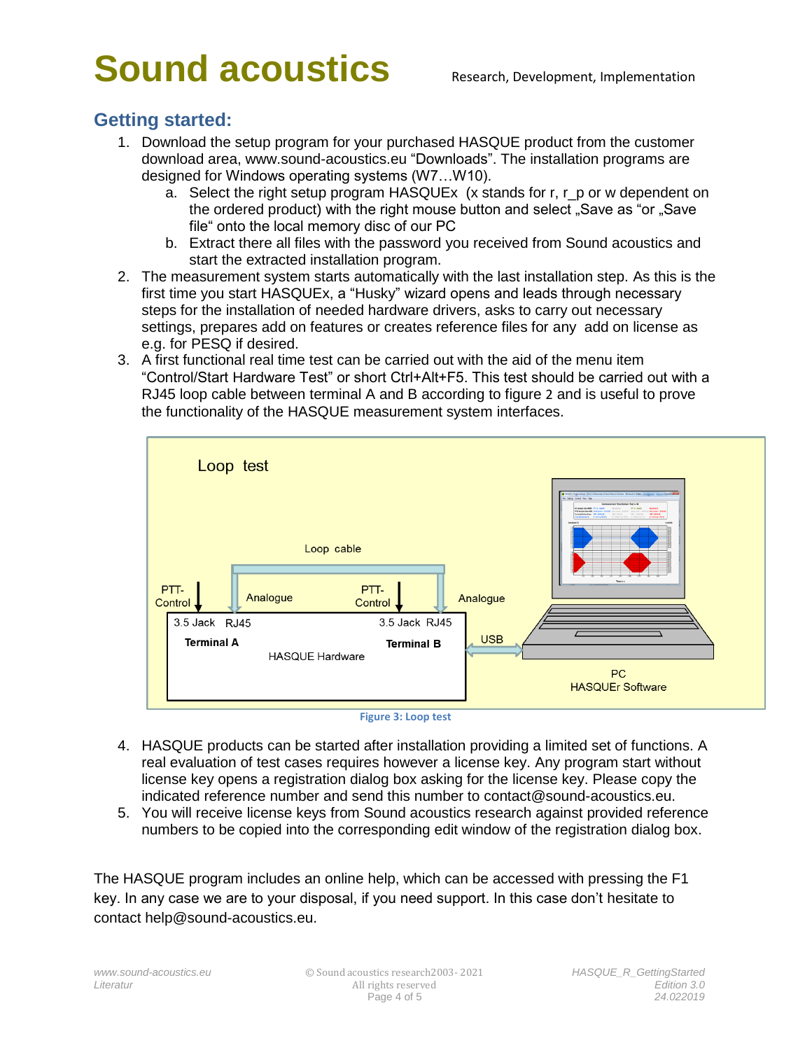### <span id="page-3-0"></span>**Getting started:**

- 1. Download the setup program for your purchased HASQUE product from the customer download area, [www.sound-acoustics.eu](http://www.sound-acoustics.eu/) "Downloads". The installation programs are designed for Windows operating systems (W7…W10).
	- a. Select the right setup program HASQUEx (x stands for r, r\_p or w dependent on the ordered product) with the right mouse button and select "Save as "or "Save file" onto the local memory disc of our PC
	- b. Extract there all files with the password you received from Sound acoustics and start the extracted installation program.
- 2. The measurement system starts automatically with the last installation step. As this is the first time you start HASQUEx, a "Husky" wizard opens and leads through necessary steps for the installation of needed hardware drivers, asks to carry out necessary settings, prepares add on features or creates reference files for any add on license as e.g. for PESQ if desired.
- 3. A first functional real time test can be carried out with the aid of the menu item "Control/Start Hardware Test" or short Ctrl+Alt+F5. This test should be carried out with a RJ45 loop cable between terminal A and B according to figure 2 and is useful to prove the functionality of the HASQUE measurement system interfaces.





- 4. HASQUE products can be started after installation providing a limited set of functions. A real evaluation of test cases requires however a license key. Any program start without license key opens a registration dialog box asking for the license key. Please copy the indicated reference number and send this number to contact@sound-acoustics.eu.
- 5. You will receive license keys from Sound acoustics research against provided reference numbers to be copied into the corresponding edit window of the registration dialog box.

The HASQUE program includes an online help, which can be accessed with pressing the F1 key. In any case we are to your disposal, if you need support. In this case don't hesitate to contact help@sound-acoustics.eu.